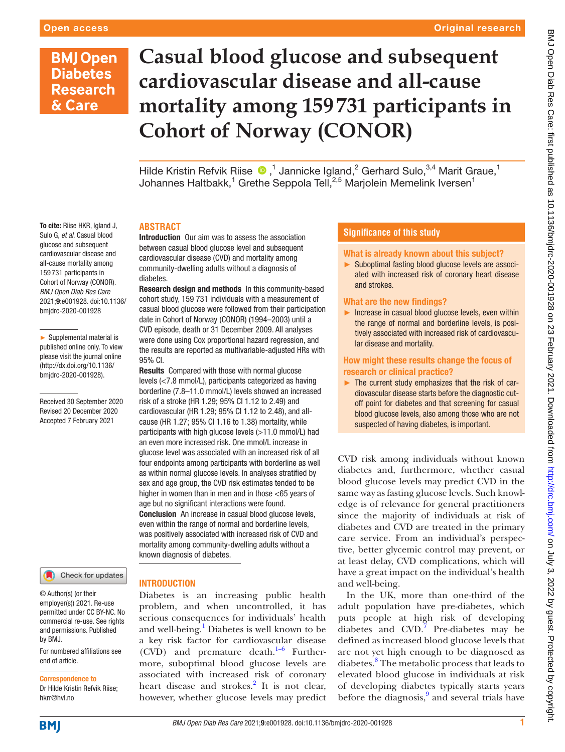#### Original research

## **BMJ Open Diabetes Research** & Care

# **Casual blood glucose and subsequent cardiovascular disease and all-cause mortality among 159 731 participants in Cohort of Norway (CONOR)**

HildeKristin Refvik Riise  $\bigcirc$ ,<sup>1</sup> Jannicke Igland,<sup>2</sup> Gerhard Sulo,<sup>3,4</sup> Marit Graue,<sup>1</sup> Johannes Haltbakk, $^1$  Grethe Seppola Tell, $^{2,5}$  Marjolein Memelink Iversen $^1$ 

#### **ABSTRACT**

Introduction Our aim was to assess the association between casual blood glucose level and subsequent cardiovascular disease (CVD) and mortality among community-dwelling adults without a diagnosis of diabetes.

Research design and methods In this community-based cohort study, 159 731 individuals with a measurement of casual blood glucose were followed from their participation date in Cohort of Norway (CONOR) (1994–2003) until a CVD episode, death or 31 December 2009. All analyses were done using Cox proportional hazard regression, and the results are reported as multivariable-adjusted HRs with 95% CI.

Results Compared with those with normal glucose levels (<7.8 mmol/L), participants categorized as having borderline (7.8–11.0 mmol/L) levels showed an increased risk of a stroke (HR 1.29; 95% CI 1.12 to 2.49) and cardiovascular (HR 1.29; 95% CI 1.12 to 2.48), and allcause (HR 1.27; 95% CI 1.16 to 1.38) mortality, while participants with high glucose levels (>11.0 mmol/L) had an even more increased risk. One mmol/L increase in glucose level was associated with an increased risk of all four endpoints among participants with borderline as well as within normal glucose levels. In analyses stratified by sex and age group, the CVD risk estimates tended to be higher in women than in men and in those <65 years of age but no significant interactions were found. **Conclusion** An increase in casual blood glucose levels. even within the range of normal and borderline levels, was positively associated with increased risk of CVD and mortality among community-dwelling adults without a known diagnosis of diabetes.

#### Sulo G, *et al*. Casual blood glucose and subsequent cardiovascular disease and all-cause mortality among 159 731 participants in Cohort of Norway (CONOR). *BMJ Open Diab Res Care* 2021;9:e001928. doi:10.1136/ bmjdrc-2020-001928

To cite: Riise HKR, Igland J.

► Supplemental material is published online only. To view please visit the journal online (http://dx.doi.org/10.1136/ bmjdrc-2020-001928).

Received 30 September 2020 Revised 20 December 2020 Accepted 7 February 2021



© Author(s) (or their employer(s)) 2021. Re-use permitted under CC BY-NC. No commercial re-use. See rights and permissions. Published by BMJ.

For numbered affiliations see end of article.

Correspondence to Dr Hilde Kristin Refvik Riise; hkrr@hvl.no

#### INTRODUCTION

Diabetes is an increasing public health problem, and when uncontrolled, it has serious consequences for individuals' health and well-being.<sup>[1](#page-7-0)</sup> Diabetes is well known to be a key risk factor for cardiovascular disease  $(CVD)$  and premature death.<sup>1–6</sup> Furthermore, suboptimal blood glucose levels are associated with increased risk of coronary heart disease and strokes.<sup>[2](#page-7-1)</sup> It is not clear, however, whether glucose levels may predict

#### **Significance of this study**

#### What is already known about this subject?

► Suboptimal fasting blood glucose levels are associated with increased risk of coronary heart disease and strokes.

#### What are the new findings?

► Increase in casual blood glucose levels, even within the range of normal and borderline levels, is positively associated with increased risk of cardiovascular disease and mortality.

#### How might these results change the focus of research or clinical practice?

 $\blacktriangleright$  The current study emphasizes that the risk of cardiovascular disease starts before the diagnostic cutoff point for diabetes and that screening for casual blood glucose levels, also among those who are not suspected of having diabetes, is important.

CVD risk among individuals without known diabetes and, furthermore, whether casual blood glucose levels may predict CVD in the same way as fasting glucose levels. Such knowledge is of relevance for general practitioners since the majority of individuals at risk of diabetes and CVD are treated in the primary care service. From an individual's perspective, better glycemic control may prevent, or at least delay, CVD complications, which will have a great impact on the individual's health and well-being.

In the UK, more than one-third of the adult population have pre-diabetes, which puts people at high risk of developing diabetes and  $CVD$ .<sup>[7](#page-8-0)</sup> Pre-diabetes may be defined as increased blood glucose levels that are not yet high enough to be diagnosed as diabetes.<sup>[8](#page-8-1)</sup> The metabolic process that leads to elevated blood glucose in individuals at risk of developing diabetes typically starts years before the diagnosis,<sup>[9](#page-8-2)</sup> and several trials have

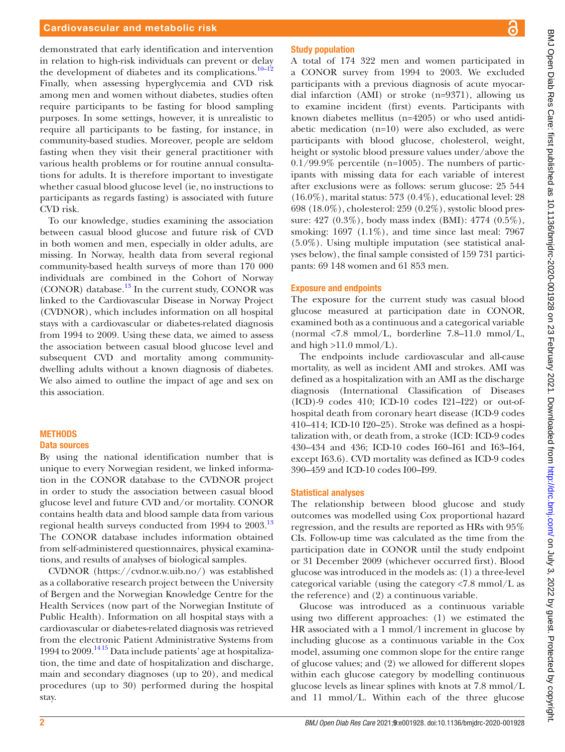#### Cardiovascular and metabolic risk

demonstrated that early identification and intervention in relation to high-risk individuals can prevent or delay the development of diabetes and its complications. $10-12$ Finally, when assessing hyperglycemia and CVD risk among men and women without diabetes, studies often require participants to be fasting for blood sampling purposes. In some settings, however, it is unrealistic to require all participants to be fasting, for instance, in community-based studies. Moreover, people are seldom fasting when they visit their general practitioner with various health problems or for routine annual consultations for adults. It is therefore important to investigate whether casual blood glucose level (ie, no instructions to participants as regards fasting) is associated with future CVD risk.

To our knowledge, studies examining the association between casual blood glucose and future risk of CVD in both women and men, especially in older adults, are missing. In Norway, health data from several regional community-based health surveys of more than 170 000 individuals are combined in the Cohort of Norway (CONOR) database.<sup>[13](#page-8-4)</sup> In the current study, CONOR was linked to the Cardiovascular Disease in Norway Project (CVDNOR), which includes information on all hospital stays with a cardiovascular or diabetes-related diagnosis from 1994 to 2009. Using these data, we aimed to assess the association between casual blood glucose level and subsequent CVD and mortality among communitydwelling adults without a known diagnosis of diabetes. We also aimed to outline the impact of age and sex on this association.

#### METHODS Data sources

By using the national identification number that is unique to every Norwegian resident, we linked information in the CONOR database to the CVDNOR project in order to study the association between casual blood glucose level and future CVD and/or mortality. CONOR contains health data and blood sample data from various regional health surveys conducted from 1994 to 2003.<sup>[13](#page-8-4)</sup> The CONOR database includes information obtained from self-administered questionnaires, physical examinations, and results of analyses of biological samples.

CVDNOR [\(https://cvdnor.w.uib.no/\)](https://cvdnor.w.uib.no/) was established as a collaborative research project between the University of Bergen and the Norwegian Knowledge Centre for the Health Services (now part of the Norwegian Institute of Public Health). Information on all hospital stays with a cardiovascular or diabetes-related diagnosis was retrieved from the electronic Patient Administrative Systems from 1994 to 2009[.14 15](#page-8-5) Data include patients' age at hospitalization, the time and date of hospitalization and discharge, main and secondary diagnoses (up to 20), and medical procedures (up to 30) performed during the hospital stay.

#### Study population

A total of 174 322 men and women participated in a CONOR survey from 1994 to 2003. We excluded participants with a previous diagnosis of acute myocardial infarction (AMI) or stroke (n=9371), allowing us to examine incident (first) events. Participants with known diabetes mellitus (n=4205) or who used antidiabetic medication (n=10) were also excluded, as were participants with blood glucose, cholesterol, weight, height or systolic blood pressure values under/above the  $0.1/99.9\%$  percentile (n=1005). The numbers of participants with missing data for each variable of interest after exclusions were as follows: serum glucose: 25 544 (16.0%), marital status: 573 (0.4%), educational level: 28 698 (18.0%), cholesterol: 259 (0.2%), systolic blood pressure: 427 (0.3%), body mass index (BMI): 4774 (0.5%), smoking:  $1697$  (1.1%), and time since last meal: 7967 (5.0%). Using multiple imputation (see statistical analyses below), the final sample consisted of 159 731 participants: 69 148 women and 61 853 men.

#### Exposure and endpoints

The exposure for the current study was casual blood glucose measured at participation date in CONOR, examined both as a continuous and a categorical variable (normal  $\langle 7.8 \text{ mmol/L}$ , borderline  $7.8-11.0 \text{ mmol/L}$ , and high  $>11.0$  mmol/L).

The endpoints include cardiovascular and all-cause mortality, as well as incident AMI and strokes. AMI was defined as a hospitalization with an AMI as the discharge diagnosis (International Classification of Diseases (ICD)-9 codes 410; ICD-10 codes I21–I22) or out-ofhospital death from coronary heart disease (ICD-9 codes 410–414; ICD-10 I20–25). Stroke was defined as a hospitalization with, or death from, a stroke (ICD: ICD-9 codes 430–434 and 436; ICD-10 codes I60–I61 and I63–I64, except I63.6). CVD mortality was defined as ICD-9 codes 390–459 and ICD-10 codes I00–I99.

#### Statistical analyses

The relationship between blood glucose and study outcomes was modelled using Cox proportional hazard regression, and the results are reported as HRs with 95% CIs. Follow-up time was calculated as the time from the participation date in CONOR until the study endpoint or 31 December 2009 (whichever occurred first). Blood glucose was introduced in the models as: (1) a three-level categorical variable (using the category <7.8 mmol/L as the reference) and (2) a continuous variable.

Glucose was introduced as a continuous variable using two different approaches: (1) we estimated the HR associated with a 1 mmol/l increment in glucose by including glucose as a continuous variable in the Cox model, assuming one common slope for the entire range of glucose values; and (2) we allowed for different slopes within each glucose category by modelling continuous glucose levels as linear splines with knots at 7.8 mmol/L and 11 mmol/L. Within each of the three glucose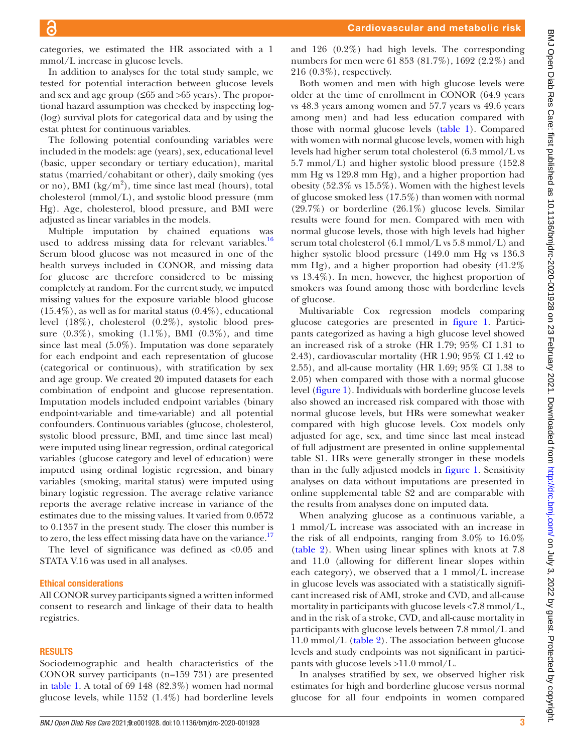categories, we estimated the HR associated with a 1 mmol/L increase in glucose levels.

In addition to analyses for the total study sample, we tested for potential interaction between glucose levels and sex and age group (≤65 and >65 years). The proportional hazard assumption was checked by inspecting log- (log) survival plots for categorical data and by using the estat phtest for continuous variables.

The following potential confounding variables were included in the models: age (years), sex, educational level (basic, upper secondary or tertiary education), marital status (married/cohabitant or other), daily smoking (yes or no), BMI  $(kg/m^2)$ , time since last meal (hours), total cholesterol (mmol/L), and systolic blood pressure (mm Hg). Age, cholesterol, blood pressure, and BMI were adjusted as linear variables in the models.

Multiple imputation by chained equations was used to address missing data for relevant variables.<sup>16</sup> Serum blood glucose was not measured in one of the health surveys included in CONOR, and missing data for glucose are therefore considered to be missing completely at random. For the current study, we imputed missing values for the exposure variable blood glucose  $(15.4\%)$ , as well as for marital status  $(0.4\%)$ , educational level (18%), cholesterol (0.2%), systolic blood pressure  $(0.3\%)$ , smoking  $(1.1\%)$ , BMI  $(0.3\%)$ , and time since last meal (5.0%). Imputation was done separately for each endpoint and each representation of glucose (categorical or continuous), with stratification by sex and age group. We created 20 imputed datasets for each combination of endpoint and glucose representation. Imputation models included endpoint variables (binary endpoint-variable and time-variable) and all potential confounders. Continuous variables (glucose, cholesterol, systolic blood pressure, BMI, and time since last meal) were imputed using linear regression, ordinal categorical variables (glucose category and level of education) were imputed using ordinal logistic regression, and binary variables (smoking, marital status) were imputed using binary logistic regression. The average relative variance reports the average relative increase in variance of the estimates due to the missing values. It varied from 0.0572 to 0.1357 in the present study. The closer this number is to zero, the less effect missing data have on the variance.<sup>17</sup>

The level of significance was defined as <0.05 and STATA V.16 was used in all analyses.

#### Ethical considerations

All CONOR survey participants signed a written informed consent to research and linkage of their data to health registries.

#### RESULTS

Sociodemographic and health characteristics of the CONOR survey participants (n=159 731) are presented in [table](#page-3-0) 1. A total of 69 148 (82.3%) women had normal glucose levels, while 1152 (1.4%) had borderline levels

and 126 (0.2%) had high levels. The corresponding numbers for men were 61 853 (81.7%), 1692 (2.2%) and 216 (0.3%), respectively.

Both women and men with high glucose levels were older at the time of enrollment in CONOR (64.9 years vs 48.3 years among women and 57.7 years vs 49.6 years among men) and had less education compared with those with normal glucose levels [\(table](#page-3-0) 1). Compared with women with normal glucose levels, women with high levels had higher serum total cholesterol (6.3 mmol/L vs 5.7 mmol/L) and higher systolic blood pressure (152.8 mm Hg vs 129.8 mm Hg), and a higher proportion had obesity (52.3% vs 15.5%). Women with the highest levels of glucose smoked less (17.5%) than women with normal (29.7%) or borderline (26.1%) glucose levels. Similar results were found for men. Compared with men with normal glucose levels, those with high levels had higher serum total cholesterol (6.1 mmol/L vs 5.8 mmol/L) and higher systolic blood pressure (149.0 mm Hg vs 136.3 mm Hg), and a higher proportion had obesity (41.2% vs 13.4%). In men, however, the highest proportion of smokers was found among those with borderline levels of glucose.

Multivariable Cox regression models comparing glucose categories are presented in [figure](#page-4-0) 1. Participants categorized as having a high glucose level showed an increased risk of a stroke (HR 1.79; 95% CI 1.31 to 2.43), cardiovascular mortality (HR 1.90; 95% CI 1.42 to 2.55), and all-cause mortality (HR 1.69; 95% CI 1.38 to 2.05) when compared with those with a normal glucose level [\(figure](#page-4-0) 1). Individuals with borderline glucose levels also showed an increased risk compared with those with normal glucose levels, but HRs were somewhat weaker compared with high glucose levels. Cox models only adjusted for age, sex, and time since last meal instead of full adjustment are presented in [online supplemental](https://dx.doi.org/10.1136/bmjdrc-2020-001928) [table S1.](https://dx.doi.org/10.1136/bmjdrc-2020-001928) HRs were generally stronger in these models than in the fully adjusted models in [figure](#page-4-0) 1. Sensitivity analyses on data without imputations are presented in [online supplemental table S2](https://dx.doi.org/10.1136/bmjdrc-2020-001928) and are comparable with the results from analyses done on imputed data.

When analyzing glucose as a continuous variable, a 1 mmol/L increase was associated with an increase in the risk of all endpoints, ranging from 3.0% to 16.0% [\(table](#page-5-0) 2). When using linear splines with knots at 7.8 and 11.0 (allowing for different linear slopes within each category), we observed that a 1 mmol/L increase in glucose levels was associated with a statistically significant increased risk of AMI, stroke and CVD, and all-cause mortality in participants with glucose levels <7.8 mmol/L, and in the risk of a stroke, CVD, and all-cause mortality in participants with glucose levels between 7.8 mmol/L and 11.0 mmol/L [\(table](#page-5-0) 2). The association between glucose levels and study endpoints was not significant in participants with glucose levels >11.0 mmol/L.

In analyses stratified by sex, we observed higher risk estimates for high and borderline glucose versus normal glucose for all four endpoints in women compared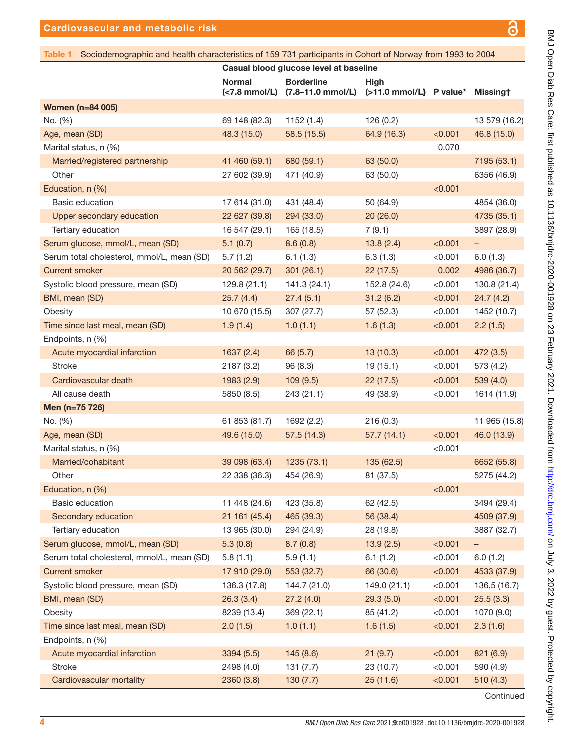BMJ Open Diab Res Care: first published as 10.1136/bmjdrc-2020-001928 on 23 February 2021 . Downloaded from <http://drc.bmj.com/> on July 3, 2022 by guest. Protected by copyright.

BMJ Open Diab Res Care: first published as 10.1136/bmjdrc-2020-001928 on 23 February 2021. Downloaded from http://drc.bmj.com/ on July 3, 2022 by guest. Protected by copyright.

<span id="page-3-0"></span>

| Sociodemographic and health characteristics of 159 731 participants in Cohort of Norway from 1993 to 2004<br>Table 1 |                                        |                                        |                                           |         |                   |  |
|----------------------------------------------------------------------------------------------------------------------|----------------------------------------|----------------------------------------|-------------------------------------------|---------|-------------------|--|
|                                                                                                                      | Casual blood glucose level at baseline |                                        |                                           |         |                   |  |
|                                                                                                                      | <b>Normal</b><br>(<7.8 mmol/L)         | <b>Borderline</b><br>(7.8–11.0 mmol/L) | <b>High</b><br>$($ >11.0 mmol/L) P value* |         | <b>Missingt</b>   |  |
| <b>Women (n=84 005)</b>                                                                                              |                                        |                                        |                                           |         |                   |  |
| No. (%)                                                                                                              | 69 148 (82.3)                          | 1152(1.4)                              | 126(0.2)                                  |         | 13 579 (16.2)     |  |
| Age, mean (SD)                                                                                                       | 48.3 (15.0)                            | 58.5 (15.5)                            | 64.9 (16.3)                               | < 0.001 | 46.8 (15.0)       |  |
| Marital status, n (%)                                                                                                |                                        |                                        |                                           | 0.070   |                   |  |
| Married/registered partnership                                                                                       | 41 460 (59.1)                          | 680 (59.1)                             | 63 (50.0)                                 |         | 7195 (53.1)       |  |
| Other                                                                                                                | 27 602 (39.9)                          | 471 (40.9)                             | 63 (50.0)                                 |         | 6356 (46.9)       |  |
| Education, n (%)                                                                                                     |                                        |                                        |                                           | < 0.001 |                   |  |
| <b>Basic education</b>                                                                                               | 17 614 (31.0)                          | 431 (48.4)                             | 50 (64.9)                                 |         | 4854 (36.0)       |  |
| Upper secondary education                                                                                            | 22 627 (39.8)                          | 294 (33.0)                             | 20(26.0)                                  |         | 4735 (35.1)       |  |
| Tertiary education                                                                                                   | 16 547 (29.1)                          | 165 (18.5)                             | 7(9.1)                                    |         | 3897 (28.9)       |  |
| Serum glucose, mmol/L, mean (SD)                                                                                     | 5.1(0.7)                               | 8.6(0.8)                               | 13.8(2.4)                                 | < 0.001 | -                 |  |
| Serum total cholesterol, mmol/L, mean (SD)                                                                           | 5.7(1.2)                               | 6.1(1.3)                               | 6.3(1.3)                                  | < 0.001 | 6.0(1.3)          |  |
| <b>Current smoker</b>                                                                                                | 20 562 (29.7)                          | 301(26.1)                              | 22(17.5)                                  | 0.002   | 4986 (36.7)       |  |
| Systolic blood pressure, mean (SD)                                                                                   | 129.8(21.1)                            | 141.3 (24.1)                           | 152.8 (24.6)                              | < 0.001 | 130.8 (21.4)      |  |
| BMI, mean (SD)                                                                                                       | 25.7(4.4)                              | 27.4(5.1)                              | 31.2(6.2)                                 | < 0.001 | 24.7(4.2)         |  |
| Obesity                                                                                                              | 10 670 (15.5)                          | 307 (27.7)                             | 57 (52.3)                                 | < 0.001 | 1452 (10.7)       |  |
| Time since last meal, mean (SD)                                                                                      | 1.9(1.4)                               | 1.0(1.1)                               | 1.6(1.3)                                  | < 0.001 | 2.2(1.5)          |  |
| Endpoints, n (%)                                                                                                     |                                        |                                        |                                           |         |                   |  |
| Acute myocardial infarction                                                                                          | 1637(2.4)                              | 66 (5.7)                               | 13(10.3)                                  | < 0.001 | 472 (3.5)         |  |
| <b>Stroke</b>                                                                                                        | 2187 (3.2)                             | 96 (8.3)                               | 19(15.1)                                  | < 0.001 | 573 (4.2)         |  |
| Cardiovascular death                                                                                                 | 1983 (2.9)                             | 109(9.5)                               | 22(17.5)                                  | < 0.001 | 539(4.0)          |  |
| All cause death                                                                                                      | 5850 (8.5)                             | 243(21.1)                              | 49 (38.9)                                 | < 0.001 | 1614 (11.9)       |  |
| Men (n=75 726)                                                                                                       |                                        |                                        |                                           |         |                   |  |
| No. (%)                                                                                                              | 61 853 (81.7)                          | 1692 (2.2)                             | 216(0.3)                                  |         | 11 965 (15.8)     |  |
| Age, mean (SD)                                                                                                       | 49.6 (15.0)                            | 57.5(14.3)                             | 57.7(14.1)                                | < 0.001 | 46.0 (13.9)       |  |
| Marital status, n (%)                                                                                                |                                        |                                        |                                           | < 0.001 |                   |  |
| Married/cohabitant                                                                                                   | 39 098 (63.4)                          | 1235 (73.1)                            | 135 (62.5)                                |         | 6652 (55.8)       |  |
| Other                                                                                                                | 22 338 (36.3) 454 (26.9)               |                                        | 81 (37.5)                                 |         | 5275 (44.2)       |  |
| Education, n (%)                                                                                                     |                                        |                                        |                                           | < 0.001 |                   |  |
| Basic education                                                                                                      | 11 448 (24.6)                          | 423 (35.8)                             | 62 (42.5)                                 |         | 3494 (29.4)       |  |
| Secondary education                                                                                                  | 21 161 (45.4)                          | 465 (39.3)                             | 56 (38.4)                                 |         | 4509 (37.9)       |  |
| Tertiary education                                                                                                   | 13 965 (30.0)                          | 294 (24.9)                             | 28 (19.8)                                 |         | 3887 (32.7)       |  |
| Serum glucose, mmol/L, mean (SD)                                                                                     | 5.3(0.8)                               | 8.7(0.8)                               | 13.9(2.5)                                 | < 0.001 | $\qquad \qquad -$ |  |
| Serum total cholesterol, mmol/L, mean (SD)                                                                           | 5.8(1.1)                               | 5.9(1.1)                               | 6.1(1.2)                                  | < 0.001 | 6.0(1.2)          |  |
| <b>Current smoker</b>                                                                                                | 17 910 (29.0)                          | 553 (32.7)                             | 66 (30.6)                                 | < 0.001 | 4533 (37.9)       |  |
| Systolic blood pressure, mean (SD)                                                                                   | 136.3 (17.8)                           | 144.7 (21.0)                           | 149.0 (21.1)                              | < 0.001 | 136,5 (16.7)      |  |
| BMI, mean (SD)                                                                                                       | 26.3(3.4)                              | 27.2(4.0)                              | 29.3(5.0)                                 | < 0.001 | 25.5(3.3)         |  |
| Obesity                                                                                                              | 8239 (13.4)                            | 369 (22.1)                             | 85 (41.2)                                 | < 0.001 | 1070 (9.0)        |  |
| Time since last meal, mean (SD)                                                                                      | 2.0(1.5)                               | 1.0(1.1)                               | 1.6(1.5)                                  | < 0.001 | 2.3(1.6)          |  |
| Endpoints, n (%)                                                                                                     |                                        |                                        |                                           |         |                   |  |
| Acute myocardial infarction                                                                                          | 3394 (5.5)                             | 145(8.6)                               | 21(9.7)                                   | < 0.001 | 821 (6.9)         |  |
| Stroke                                                                                                               | 2498 (4.0)                             | 131(7.7)                               | 23 (10.7)                                 | < 0.001 | 590 (4.9)         |  |
| Cardiovascular mortality                                                                                             | 2360 (3.8)                             | 130(7.7)                               | 25 (11.6)                                 | < 0.001 | 510(4.3)          |  |

Continued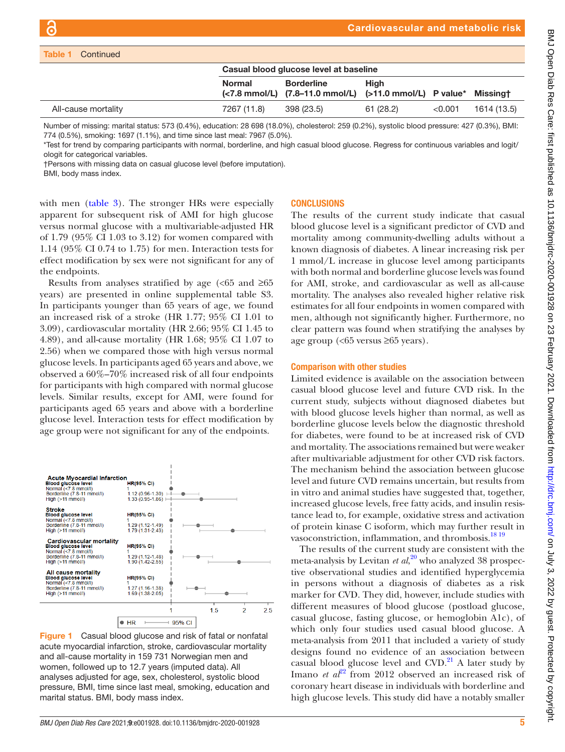| Table 1<br>Continued                                                                                                                                                                                                                                                                                                                                                                                                                                                                                               |                                        |                                                      |                                           |         |                 |  |  |
|--------------------------------------------------------------------------------------------------------------------------------------------------------------------------------------------------------------------------------------------------------------------------------------------------------------------------------------------------------------------------------------------------------------------------------------------------------------------------------------------------------------------|----------------------------------------|------------------------------------------------------|-------------------------------------------|---------|-----------------|--|--|
|                                                                                                                                                                                                                                                                                                                                                                                                                                                                                                                    | Casual blood glucose level at baseline |                                                      |                                           |         |                 |  |  |
|                                                                                                                                                                                                                                                                                                                                                                                                                                                                                                                    | <b>Normal</b>                          | <b>Borderline</b><br>(<7.8 mmol/L) (7.8–11.0 mmol/L) | <b>High</b><br>$($ >11.0 mmol/L) P value* |         | <b>Missingt</b> |  |  |
| All-cause mortality                                                                                                                                                                                                                                                                                                                                                                                                                                                                                                | 7267 (11.8)                            | 398 (23.5)                                           | 61(28.2)                                  | < 0.001 | 1614 (13.5)     |  |  |
| Number of missing: marital status: 573 (0.4%), education: 28 698 (18.0%), cholesterol: 259 (0.2%), systolic blood pressure: 427 (0.3%), BMI:<br>774 (0.5%), smoking: 1697 (1.1%), and time since last meal: 7967 (5.0%).<br>*Test for trend by comparing participants with normal, borderline, and high casual blood glucose. Regress for continuous variables and logit/<br>ologit for categorical variables.<br>†Persons with missing data on casual glucose level (before imputation).<br>BMI, body mass index. |                                        |                                                      |                                           |         |                 |  |  |

with men [\(table](#page-6-0) 3). The stronger HRs were especially apparent for subsequent risk of AMI for high glucose versus normal glucose with a multivariable-adjusted HR of 1.79 (95% CI 1.03 to 3.12) for women compared with 1.14 (95% CI 0.74 to 1.75) for men. Interaction tests for effect modification by sex were not significant for any of the endpoints.

Results from analyses stratified by age ( $< 65$  and  $\geq 65$ ) years) are presented in [online supplemental table S3.](https://dx.doi.org/10.1136/bmjdrc-2020-001928) In participants younger than 65 years of age, we found an increased risk of a stroke (HR 1.77; 95% CI 1.01 to 3.09), cardiovascular mortality (HR 2.66; 95% CI 1.45 to 4.89), and all-cause mortality (HR 1.68; 95% CI 1.07 to 2.56) when we compared those with high versus normal glucose levels. In participants aged 65 years and above, we observed a 60%–70% increased risk of all four endpoints for participants with high compared with normal glucose levels. Similar results, except for AMI, were found for participants aged 65 years and above with a borderline glucose level. Interaction tests for effect modification by age group were not significant for any of the endpoints.



<span id="page-4-0"></span>Figure 1 Casual blood glucose and risk of fatal or nonfatal acute myocardial infarction, stroke, cardiovascular mortality and all-cause mortality in 159 731 Norwegian men and women, followed up to 12.7 years (imputed data). All analyses adjusted for age, sex, cholesterol, systolic blood pressure, BMI, time since last meal, smoking, education and marital status. BMI, body mass index.

#### **CONCLUSIONS**

The results of the current study indicate that casual blood glucose level is a significant predictor of CVD and mortality among community-dwelling adults without a known diagnosis of diabetes. A linear increasing risk per 1 mmol/L increase in glucose level among participants with both normal and borderline glucose levels was found for AMI, stroke, and cardiovascular as well as all-cause mortality. The analyses also revealed higher relative risk estimates for all four endpoints in women compared with men, although not significantly higher. Furthermore, no clear pattern was found when stratifying the analyses by age group (<65 versus ≥65 years).

#### Comparison with other studies

Limited evidence is available on the association between casual blood glucose level and future CVD risk. In the current study, subjects without diagnosed diabetes but with blood glucose levels higher than normal, as well as borderline glucose levels below the diagnostic threshold for diabetes, were found to be at increased risk of CVD and mortality. The associations remained but were weaker after multivariable adjustment for other CVD risk factors. The mechanism behind the association between glucose level and future CVD remains uncertain, but results from in vitro and animal studies have suggested that, together, increased glucose levels, free fatty acids, and insulin resistance lead to, for example, oxidative stress and activation of protein kinase C isoform, which may further result in vasoconstriction, inflammation, and thrombosis.<sup>18 19</sup>

The results of the current study are consistent with the meta-analysis by Levitan *et al*, [20](#page-8-9) who analyzed 38 prospective observational studies and identified hyperglycemia in persons without a diagnosis of diabetes as a risk marker for CVD. They did, however, include studies with different measures of blood glucose (postload glucose, casual glucose, fasting glucose, or hemoglobin A1c), of which only four studies used casual blood glucose. A meta-analysis from 2011 that included a variety of study designs found no evidence of an association between casual blood glucose level and  $CVD$ .<sup>21</sup> A later study by Imano *et al*<sup>22</sup> from 2012 observed an increased risk of coronary heart disease in individuals with borderline and high glucose levels. This study did have a notably smaller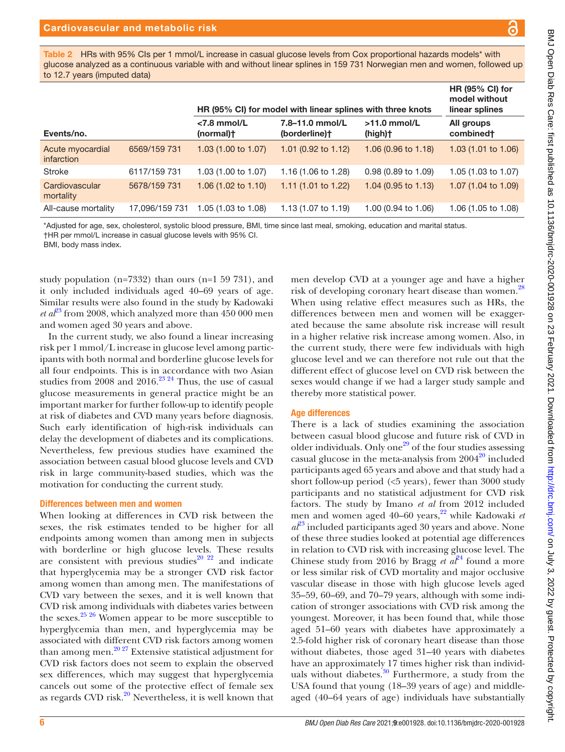<span id="page-5-0"></span>Table 2 HRs with 95% CIs per 1 mmol/L increase in casual glucose levels from Cox proportional hazards models\* with glucose analyzed as a continuous variable with and without linear splines in 159 731 Norwegian men and women, followed up to 12.7 years (imputed data)

|                                |                | HR (95% CI) for model with linear splines with three knots | <b>HR (95% CI) for</b><br>model without<br>linear splines |                               |                                |
|--------------------------------|----------------|------------------------------------------------------------|-----------------------------------------------------------|-------------------------------|--------------------------------|
| Events/no.                     |                | $<$ 7.8 mmol/L<br>(normal)t                                | 7.8-11.0 mmol/L<br>(borderline)†                          | $>11.0$ mmol/L<br>(high)†     | All groups<br>combined†        |
| Acute myocardial<br>infarction | 6569/159 731   | 1.03 (1.00 to 1.07)                                        | 1.01 $(0.92 \text{ to } 1.12)$                            | $1.06(0.96 \text{ to } 1.18)$ | 1.03(1.01 to 1.06)             |
| <b>Stroke</b>                  | 6117/159 731   | 1.03 (1.00 to 1.07)                                        | 1.16 (1.06 to 1.28)                                       | $0.98(0.89 \text{ to } 1.09)$ | 1.05 (1.03 to 1.07)            |
| Cardiovascular<br>mortality    | 5678/159 731   | 1.06 (1.02 to 1.10)                                        | 1.11 $(1.01 \text{ to } 1.22)$                            | $1.04$ (0.95 to 1.13)         | 1.07 $(1.04 \text{ to } 1.09)$ |
| All-cause mortality            | 17.096/159 731 | 1.05 (1.03 to 1.08)                                        | 1.13 (1.07 to 1.19)                                       | 1.00 (0.94 to 1.06)           | 1.06 (1.05 to 1.08)            |

\*Adjusted for age, sex, cholesterol, systolic blood pressure, BMI, time since last meal, smoking, education and marital status.

†HR per mmol/L increase in casual glucose levels with 95% CI.

BMI, body mass index.

study population (n=7332) than ours (n=1 59 731), and it only included individuals aged 40–69 years of age. Similar results were also found in the study by Kadowaki *et a* $l^2$ <sup>3</sup> from 2008, which analyzed more than 450 000 men and women aged 30 years and above.

In the current study, we also found a linear increasing risk per 1 mmol/L increase in glucose level among participants with both normal and borderline glucose levels for all four endpoints. This is in accordance with two Asian studies from  $2008$  and  $2016.<sup>23 24</sup>$  $2016.<sup>23 24</sup>$  $2016.<sup>23 24</sup>$  Thus, the use of casual glucose measurements in general practice might be an important marker for further follow-up to identify people at risk of diabetes and CVD many years before diagnosis. Such early identification of high-risk individuals can delay the development of diabetes and its complications. Nevertheless, few previous studies have examined the association between casual blood glucose levels and CVD risk in large community-based studies, which was the motivation for conducting the current study.

#### Differences between men and women

When looking at differences in CVD risk between the sexes, the risk estimates tended to be higher for all endpoints among women than among men in subjects with borderline or high glucose levels. These results are consistent with previous studies<sup>[20 22](#page-8-9)</sup> and indicate that hyperglycemia may be a stronger CVD risk factor among women than among men. The manifestations of CVD vary between the sexes, and it is well known that CVD risk among individuals with diabetes varies between the sexes. $25\frac{25}{6}$  Women appear to be more susceptible to hyperglycemia than men, and hyperglycemia may be associated with different CVD risk factors among women than among men.[20 27](#page-8-9) Extensive statistical adjustment for CVD risk factors does not seem to explain the observed sex differences, which may suggest that hyperglycemia cancels out some of the protective effect of female sex as regards CVD risk.<sup>[20](#page-8-9)</sup> Nevertheless, it is well known that

men develop CVD at a younger age and have a higher risk of developing coronary heart disease than women.<sup>[28](#page-8-14)</sup> When using relative effect measures such as HRs, the differences between men and women will be exaggerated because the same absolute risk increase will result in a higher relative risk increase among women. Also, in the current study, there were few individuals with high glucose level and we can therefore not rule out that the different effect of glucose level on CVD risk between the sexes would change if we had a larger study sample and thereby more statistical power.

#### Age differences

There is a lack of studies examining the association between casual blood glucose and future risk of CVD in older individuals. Only one<sup>29</sup> of the four studies assessing casual glucose in the meta-analysis from  $2004^{20}$  included participants aged 65 years and above and that study had a short follow-up period  $(<5$  years), fewer than 3000 study participants and no statistical adjustment for CVD risk factors. The study by Imano *et al* from 2012 included men and women aged 40–60 years,<sup>22</sup> while Kadowaki *et*  $a^2$ <sup>[23](#page-8-12)</sup> included participants aged 30 years and above. None of these three studies looked at potential age differences in relation to CVD risk with increasing glucose level. The Chinese study from 2016 by Bragg *et al*<sup>[24](#page-8-16)</sup> found a more or less similar risk of CVD mortality and major occlusive vascular disease in those with high glucose levels aged 35–59, 60–69, and 70–79 years, although with some indication of stronger associations with CVD risk among the youngest. Moreover, it has been found that, while those aged 51–60 years with diabetes have approximately a 2.5-fold higher risk of coronary heart disease than those without diabetes, those aged 31–40 years with diabetes have an approximately 17 times higher risk than individuals without diabetes. $30$  Furthermore, a study from the USA found that young (18–39 years of age) and middleaged (40–64 years of age) individuals have substantially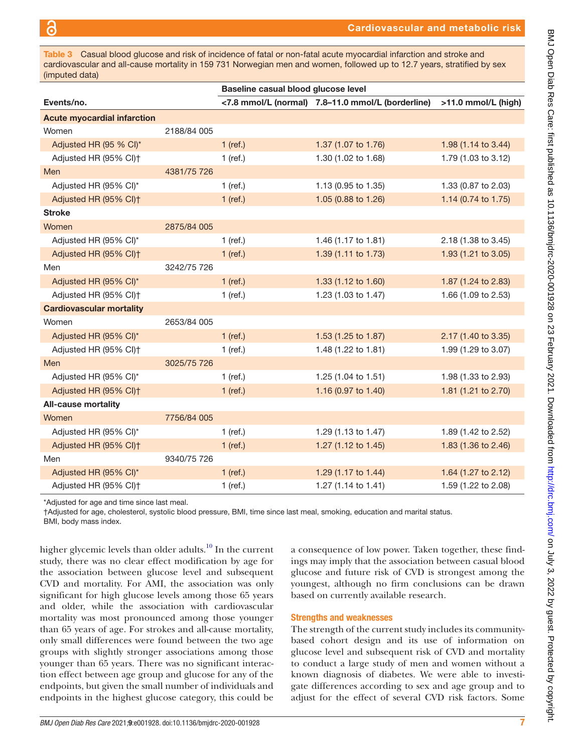<span id="page-6-0"></span>Table 3 Casual blood glucose and risk of incidence of fatal or non-fatal acute myocardial infarction and stroke and cardiovascular and all-cause mortality in 159 731 Norwegian men and women, followed up to 12.7 years, stratified by sex (imputed data)

|                                    |             | Baseline casual blood glucose level |                                                   |                     |  |
|------------------------------------|-------------|-------------------------------------|---------------------------------------------------|---------------------|--|
| Events/no.                         |             |                                     | <7.8 mmol/L (normal) 7.8-11.0 mmol/L (borderline) | >11.0 mmol/L (high) |  |
| <b>Acute myocardial infarction</b> |             |                                     |                                                   |                     |  |
| Women                              | 2188/84 005 |                                     |                                                   |                     |  |
| Adjusted HR (95 % CI)*             |             | $1$ (ref.)                          | 1.37 (1.07 to 1.76)                               | 1.98 (1.14 to 3.44) |  |
| Adjusted HR (95% CI) <sup>+</sup>  |             | $1$ (ref.)                          | 1.30 (1.02 to 1.68)                               | 1.79 (1.03 to 3.12) |  |
| Men                                | 4381/75 726 |                                     |                                                   |                     |  |
| Adjusted HR (95% CI)*              |             | $1$ (ref.)                          | 1.13 (0.95 to 1.35)                               | 1.33 (0.87 to 2.03) |  |
| Adjusted HR (95% CI) <sup>+</sup>  |             | $1$ (ref.)                          | 1.05 (0.88 to 1.26)                               | 1.14 (0.74 to 1.75) |  |
| <b>Stroke</b>                      |             |                                     |                                                   |                     |  |
| Women                              | 2875/84 005 |                                     |                                                   |                     |  |
| Adjusted HR (95% CI)*              |             | $1$ (ref.)                          | 1.46 (1.17 to 1.81)                               | 2.18 (1.38 to 3.45) |  |
| Adjusted HR (95% CI) <sup>+</sup>  |             | $1$ (ref.)                          | 1.39 (1.11 to 1.73)                               | 1.93 (1.21 to 3.05) |  |
| Men                                | 3242/75 726 |                                     |                                                   |                     |  |
| Adjusted HR (95% CI)*              |             | $1$ (ref.)                          | 1.33 (1.12 to 1.60)                               | 1.87 (1.24 to 2.83) |  |
| Adjusted HR (95% CI) <sup>+</sup>  |             | $1$ (ref.)                          | 1.23 (1.03 to 1.47)                               | 1.66 (1.09 to 2.53) |  |
| <b>Cardiovascular mortality</b>    |             |                                     |                                                   |                     |  |
| Women                              | 2653/84 005 |                                     |                                                   |                     |  |
| Adjusted HR (95% CI)*              |             | $1$ (ref.)                          | 1.53 (1.25 to 1.87)                               | 2.17 (1.40 to 3.35) |  |
| Adjusted HR (95% Cl) <sup>+</sup>  |             | $1$ (ref.)                          | 1.48 (1.22 to 1.81)                               | 1.99 (1.29 to 3.07) |  |
| Men                                | 3025/75 726 |                                     |                                                   |                     |  |
| Adjusted HR (95% CI)*              |             | $1$ (ref.)                          | 1.25 (1.04 to 1.51)                               | 1.98 (1.33 to 2.93) |  |
| Adjusted HR (95% CI) <sup>+</sup>  |             | $1$ (ref.)                          | 1.16 (0.97 to 1.40)                               | 1.81 (1.21 to 2.70) |  |
| <b>All-cause mortality</b>         |             |                                     |                                                   |                     |  |
| Women                              | 7756/84 005 |                                     |                                                   |                     |  |
| Adjusted HR (95% CI)*              |             | $1$ (ref.)                          | 1.29 (1.13 to 1.47)                               | 1.89 (1.42 to 2.52) |  |
| Adjusted HR (95% CI) <sup>+</sup>  |             | $1$ (ref.)                          | 1.27 (1.12 to 1.45)                               | 1.83 (1.36 to 2.46) |  |
| Men                                | 9340/75 726 |                                     |                                                   |                     |  |
| Adjusted HR (95% CI)*              |             | $1$ (ref.)                          | 1.29 (1.17 to 1.44)                               | 1.64 (1.27 to 2.12) |  |
| Adjusted HR (95% CI) <sup>+</sup>  |             | $1$ (ref.)                          | 1.27 (1.14 to 1.41)                               | 1.59 (1.22 to 2.08) |  |

\*Adjusted for age and time since last meal.

†Adjusted for age, cholesterol, systolic blood pressure, BMI, time since last meal, smoking, education and marital status.

BMI, body mass index.

higher glycemic levels than older adults.<sup>10</sup> In the current study, there was no clear effect modification by age for the association between glucose level and subsequent CVD and mortality. For AMI, the association was only significant for high glucose levels among those 65 years and older, while the association with cardiovascular mortality was most pronounced among those younger than 65 years of age. For strokes and all-cause mortality, only small differences were found between the two age groups with slightly stronger associations among those younger than 65 years. There was no significant interaction effect between age group and glucose for any of the endpoints, but given the small number of individuals and endpoints in the highest glucose category, this could be

a consequence of low power. Taken together, these findings may imply that the association between casual blood glucose and future risk of CVD is strongest among the youngest, although no firm conclusions can be drawn based on currently available research.

#### Strengths and weaknesses

The strength of the current study includes its communitybased cohort design and its use of information on glucose level and subsequent risk of CVD and mortality to conduct a large study of men and women without a known diagnosis of diabetes. We were able to investigate differences according to sex and age group and to adjust for the effect of several CVD risk factors. Some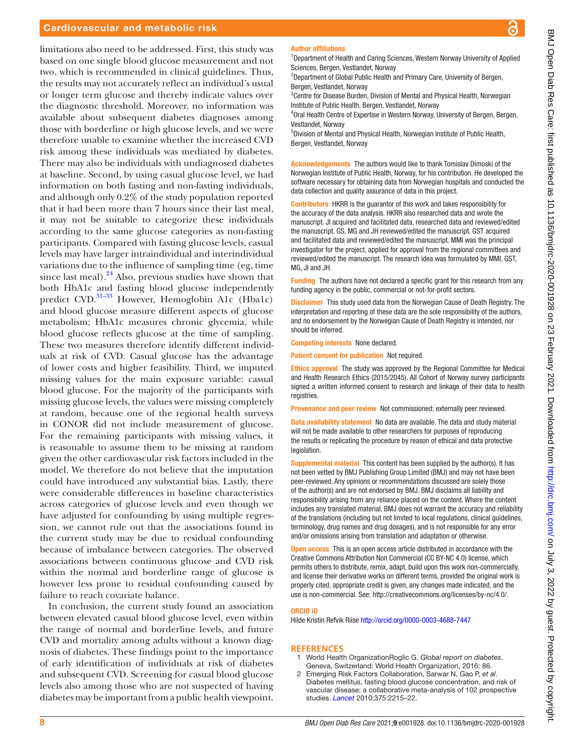#### Cardiovascular and metabolic risk

limitations also need to be addressed. First, this study was based on one single blood glucose measurement and not two, which is recommended in clinical guidelines. Thus, the results may not accurately reflect an individual's usual or longer term glucose and thereby indicate values over the diagnostic threshold. Moreover, no information was available about subsequent diabetes diagnoses among those with borderline or high glucose levels, and we were therefore unable to examine whether the increased CVD risk among these individuals was mediated by diabetes. There may also be individuals with undiagnosed diabetes at baseline. Second, by using casual glucose level, we had information on both fasting and non-fasting individuals, and although only 0.2% of the study population reported that it had been more than 7 hours since their last meal, it may not be suitable to categorize these individuals according to the same glucose categories as non-fasting participants. Compared with fasting glucose levels, casual levels may have larger intraindividual and interindividual variations due to the influence of sampling time (eg, time since last meal). $^{24}$  Also, previous studies have shown that both HbA1c and fasting blood glucose independently predict CVD.<sup>31-33</sup> However, Hemoglobin A1c (Hba1c) and blood glucose measure different aspects of glucose metabolism; HbA1c measures chronic glycemia, while blood glucose reflects glucose at the time of sampling. These two measures therefore identify different individuals at risk of CVD. Casual glucose has the advantage of lower costs and higher feasibility. Third, we imputed missing values for the main exposure variable: casual blood glucose. For the majority of the participants with missing glucose levels, the values were missing completely at random, because one of the regional health surveys in CONOR did not include measurement of glucose. For the remaining participants with missing values, it is reasonable to assume them to be missing at random given the other cardiovascular risk factors included in the model. We therefore do not believe that the imputation could have introduced any substantial bias. Lastly, there were considerable differences in baseline characteristics across categories of glucose levels and even though we have adjusted for confounding by using multiple regression, we cannot rule out that the associations found in the current study may be due to residual confounding because of imbalance between categories. The observed associations between continuous glucose and CVD risk within the normal and borderline range of glucose is however less prone to residual confounding caused by failure to reach covariate balance.

In conclusion, the current study found an association between elevated casual blood glucose level, even within the range of normal and borderline levels, and future CVD and mortality among adults without a known diagnosis of diabetes. These findings point to the importance of early identification of individuals at risk of diabetes and subsequent CVD. Screening for casual blood glucose levels also among those who are not suspected of having diabetes may be important from a public health viewpoint.

#### Author affiliations

<sup>1</sup>Department of Health and Caring Sciences, Western Norway University of Applied Sciences, Bergen, Vestlandet, Norway

<sup>2</sup>Department of Global Public Health and Primary Care, University of Bergen, Bergen, Vestlandet, Norway

<sup>3</sup> Centre for Disease Burden, Division of Mental and Physical Health, Norwegian Institute of Public Health, Bergen, Vestlandet, Norway

4 Oral Health Centre of Expertise in Western Norway, University of Bergen, Bergen, Vestlandet, Norway

5 Division of Mental and Physical Health, Norwegian Institute of Public Health, Bergen, Vestlandet, Norway

Acknowledgements The authors would like to thank Tomislav Dimoski of the Norwegian Institute of Public Health, Norway, for his contribution. He developed the software necessary for obtaining data from Norwegian hospitals and conducted the data collection and quality assurance of data in this project.

Contributors HKRR is the guarantor of this work and takes responsibility for the accuracy of the data analysis. HKRR also researched data and wrote the manuscript. JI acquired and facilitated data, researched data and reviewed/edited the manuscript. GS, MG and JH reviewed/edited the manuscript. GST acquired and facilitated data and reviewed/edited the manuscript. MMI was the principal investigator for the project, applied for approval from the regional committees and reviewed/edited the manuscript. The research idea was formulated by MMI, GST, MG, JI and JH.

Funding The authors have not declared a specific grant for this research from any funding agency in the public, commercial or not-for-profit sectors.

Disclaimer This study used data from the Norwegian Cause of Death Registry. The interpretation and reporting of these data are the sole responsibility of the authors, and no endorsement by the Norwegian Cause of Death Registry is intended, nor should be inferred.

Competing interests None declared.

Patient consent for publication Not required.

Ethics approval The study was approved by the Regional Committee for Medical and Health Research Ethics (2015/2045). All Cohort of Norway survey participants signed a written informed consent to research and linkage of their data to health registries.

Provenance and peer review Not commissioned; externally peer reviewed.

Data availability statement No data are available. The data and study material will not be made available to other researchers for purposes of reproducing the results or replicating the procedure by reason of ethical and data protective legislation.

Supplemental material This content has been supplied by the author(s). It has not been vetted by BMJ Publishing Group Limited (BMJ) and may not have been peer-reviewed. Any opinions or recommendations discussed are solely those of the author(s) and are not endorsed by BMJ. BMJ disclaims all liability and responsibility arising from any reliance placed on the content. Where the content includes any translated material, BMJ does not warrant the accuracy and reliability of the translations (including but not limited to local regulations, clinical guidelines, terminology, drug names and drug dosages), and is not responsible for any error and/or omissions arising from translation and adaptation or otherwise.

Open access This is an open access article distributed in accordance with the Creative Commons Attribution Non Commercial (CC BY-NC 4.0) license, which permits others to distribute, remix, adapt, build upon this work non-commercially, and license their derivative works on different terms, provided the original work is properly cited, appropriate credit is given, any changes made indicated, and the use is non-commercial. See:<http://creativecommons.org/licenses/by-nc/4.0/>.

#### ORCID iD

Hilde Kristin Refvik Riise<http://orcid.org/0000-0003-4688-7447>

#### **REFERENCES**

- <span id="page-7-0"></span>1 World Health OrganizationRoglic G. *Global report on diabetes*. Geneva, Switzerland: World Health Organization, 2016: 86.
- <span id="page-7-1"></span>2 Emerging Risk Factors Collaboration, Sarwar N, Gao P, *et al*. Diabetes mellitus, fasting blood glucose concentration, and risk of vascular disease: a collaborative meta-analysis of 102 prospective studies. *[Lancet](http://dx.doi.org/10.1016/S0140-6736(10)60484-9)* 2010;375:2215–22.